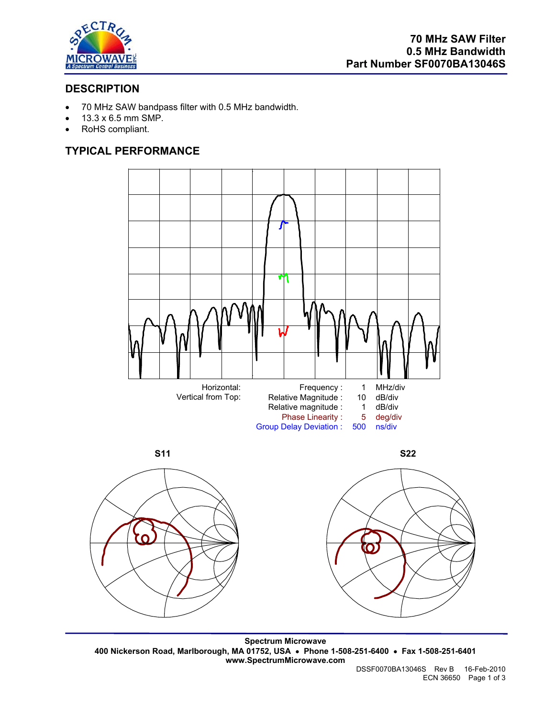

# **DESCRIPTION**

- 70 MHz SAW bandpass filter with 0.5 MHz bandwidth.
- 13.3 x 6.5 mm SMP.
- RoHS compliant.

# **TYPICAL PERFORMANCE**







**Spectrum Microwave 400 Nickerson Road, Marlborough, MA 01752, USA** • **Phone 1-508-251-6400** • **Fax 1-508-251-6401 www.SpectrumMicrowave.com**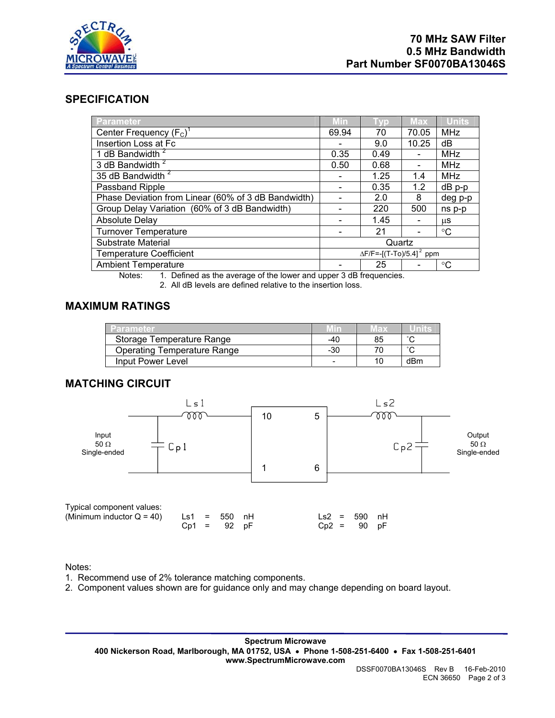

## **SPECIFICATION**

| Parameter                                           | Min                                | <b>Vo</b> | <b>Max</b>               | <b>Units</b> |
|-----------------------------------------------------|------------------------------------|-----------|--------------------------|--------------|
| Center Frequency $(F_C)^T$                          | 69.94                              | 70        | 70.05                    | <b>MHz</b>   |
| Insertion Loss at Fc                                |                                    | 9.0       | 10.25                    | dB           |
| 1 dB Bandwidth <sup>2</sup>                         | 0.35                               | 0.49      |                          | <b>MHz</b>   |
| 3 dB Bandwidth <sup>2</sup>                         | 0.50                               | 0.68      |                          | MHz          |
| 35 dB Bandwidth <sup>2</sup>                        |                                    | 1.25      | 1.4                      | MHz          |
| Passband Ripple                                     |                                    | 0.35      | 1.2                      | $dB$ $p-p$   |
| Phase Deviation from Linear (60% of 3 dB Bandwidth) |                                    | 2.0       | 8                        | deg p-p      |
| Group Delay Variation (60% of 3 dB Bandwidth)       |                                    | 220       | 500                      | ns p-p       |
| <b>Absolute Delay</b>                               |                                    | 1.45      | $\overline{\phantom{0}}$ | μS           |
| <b>Turnover Temperature</b>                         |                                    | 21        |                          | °C           |
| Substrate Material                                  | Quartz                             |           |                          |              |
| <b>Temperature Coefficient</b>                      | $\Delta F/F = -[(T-To)/5.4]^2$ ppm |           |                          |              |
| <b>Ambient Temperature</b>                          |                                    | 25        |                          | °C           |

Notes: 1. Defined as the average of the lower and upper 3 dB frequencies.

2. All dB levels are defined relative to the insertion loss.

## **MAXIMUM RATINGS**

| Parameter                          |       | Max |        |
|------------------------------------|-------|-----|--------|
| Storage Temperature Range          | -40   | 85  | $\sim$ |
| <b>Operating Temperature Range</b> | $-30$ |     | $\sim$ |
| Input Power Level                  | -     |     | dBm    |

## **MATCHING CIRCUIT**



#### Notes:

1. Recommend use of 2% tolerance matching components.

2. Component values shown are for guidance only and may change depending on board layout.

**Spectrum Microwave 400 Nickerson Road, Marlborough, MA 01752, USA** • **Phone 1-508-251-6400** • **Fax 1-508-251-6401 www.SpectrumMicrowave.com**